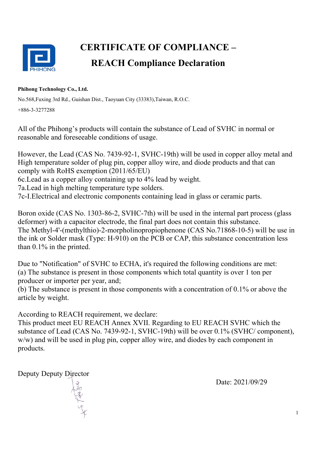

## **CERTIFICATE OF COMPLIANCE – REACH Compliance Declaration**

## **Phihong Technology Co., Ltd.**

No.568,Fuxing 3rd Rd., Guishan Dist., Taoyuan City (33383),Taiwan, R.O.C. +886-3-3277288

All of the Phihong's products will contain the substance of Lead of SVHC in normal or reasonable and foreseeable conditions of usage.

However, the Lead (CAS No. 7439-92-1, SVHC-19th) will be used in copper alloy metal and High temperature solder of plug pin, copper alloy wire, and diode products and that can comply with RoHS exemption (2011/65/EU)

6c.Lead as a copper alloy containing up to 4% lead by weight.

7a.Lead in high melting temperature type solders.

7c-I.Electrical and electronic components containing lead in glass or ceramic parts.

Boron oxide (CAS No. 1303-86-2, SVHC-7th) will be used in the internal part process (glass deformer) with a capacitor electrode, the final part does not contain this substance. The Methyl-4'-(methylthio)-2-morpholinopropiophenone (CAS No.71868-10-5) will be use in the ink or Solder mask (Type: H-910) on the PCB or CAP, this substance concentration less than 0.1% in the printed.

Due to "Notification" of SVHC to ECHA, it's required the following conditions are met: (a) The substance is present in those components which total quantity is over 1 ton per producer or importer per year, and;

(b) The substance is present in those components with a concentration of 0.1% or above the article by weight.

According to REACH requirement, we declare:

This product meet EU REACH Annex XVII. Regarding to EU REACH SVHC which the substance of Lead (CAS No. 7439-92-1, SVHC-19th) will be over 0.1% (SVHC/ component), w/w) and will be used in plug pin, copper alloy wire, and diodes by each component in products.

Deputy Deputy Director

Date: 2021/09/29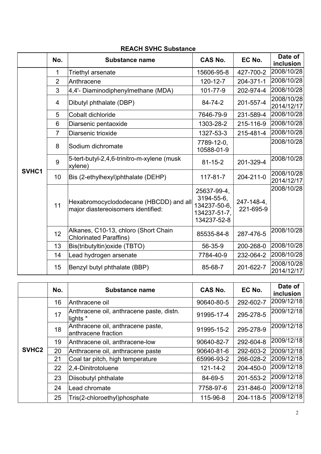|       | No.            | Substance name                                                               | <b>CAS No.</b>                                                           | EC No.                  | Date of<br>inclusion     |
|-------|----------------|------------------------------------------------------------------------------|--------------------------------------------------------------------------|-------------------------|--------------------------|
|       | 1              | Triethyl arsenate                                                            | 15606-95-8                                                               | 427-700-2               | 2008/10/28               |
|       | $\overline{2}$ | Anthracene                                                                   | 120-12-7                                                                 | 204-371-1               | 2008/10/28               |
|       | 3              | 4,4'- Diaminodiphenylmethane (MDA)                                           | 101-77-9                                                                 | 202-974-4               | 2008/10/28               |
|       | 4              | Dibutyl phthalate (DBP)                                                      | 84-74-2                                                                  | 201-557-4               | 2008/10/28<br>2014/12/17 |
|       | 5              | Cobalt dichloride                                                            | 7646-79-9                                                                | 231-589-4               | 2008/10/28               |
|       | 6              | Diarsenic pentaoxide                                                         | 1303-28-2                                                                | 215-116-9               | 2008/10/28               |
|       | $\overline{7}$ | Diarsenic trioxide                                                           | 1327-53-3                                                                | 215-481-4               | 2008/10/28               |
|       | 8              | Sodium dichromate                                                            | 7789-12-0,<br>10588-01-9                                                 |                         | 2008/10/28               |
|       | 9              | 5-tert-butyl-2,4,6-trinitro-m-xylene (musk<br>xylene)                        | $81 - 15 - 2$                                                            | 201-329-4               | 2008/10/28               |
| SVHC1 | 10             | Bis (2-ethylhexyl)phthalate (DEHP)                                           | $117 - 81 - 7$                                                           | 204-211-0               | 2008/10/28<br>2014/12/17 |
|       | 11             | Hexabromocyclododecane (HBCDD) and all<br>major diastereoisomers identified: | 25637-99-4.<br>3194-55-6,<br>134237-50-6,<br>134237-51-7,<br>134237-52-8 | 247-148-4,<br>221-695-9 | 2008/10/28               |
|       | 12             | Alkanes, C10-13, chloro (Short Chain<br><b>Chlorinated Paraffins)</b>        | 85535-84-8                                                               | 287-476-5               | 2008/10/28               |
|       | 13             | Bis(tributyltin) oxide (TBTO)                                                | 56-35-9                                                                  | 200-268-0               | 2008/10/28               |
|       | 14             | Lead hydrogen arsenate                                                       | 7784-40-9                                                                | 232-064-2               | 2008/10/28               |
|       | 15             | Benzyl butyl phthalate (BBP)                                                 | 85-68-7                                                                  | 201-622-7               | 2008/10/28<br>2014/12/17 |

## **REACH SVHC Substance**

|                   | No. | <b>Substance name</b>                                    | <b>CAS No.</b> | EC No.    | Date of<br>inclusion |
|-------------------|-----|----------------------------------------------------------|----------------|-----------|----------------------|
|                   | 16  | Anthracene oil                                           | 90640-80-5     | 292-602-7 | 2009/12/18           |
|                   | 17  | Anthracene oil, anthracene paste, distn.<br>lights *     | 91995-17-4     | 295-278-5 | 2009/12/18           |
|                   | 18  | Anthracene oil, anthracene paste,<br>anthracene fraction | 91995-15-2     | 295-278-9 | 2009/12/18           |
|                   | 19  | Anthracene oil, anthracene-low                           | 90640-82-7     | 292-604-8 | 2009/12/18           |
| SVHC <sub>2</sub> | 20  | Anthracene oil, anthracene paste                         | 90640-81-6     | 292-603-2 | 2009/12/18           |
|                   | 21  | Coal tar pitch, high temperature                         | 65996-93-2     | 266-028-2 | 2009/12/18           |
|                   | 22  | $ 2,4$ -Dinitrotoluene                                   | $121 - 14 - 2$ | 204-450-0 | 2009/12/18           |
|                   | 23  | Diisobutyl phthalate                                     | 84-69-5        | 201-553-2 | 2009/12/18           |
|                   | 24  | Lead chromate                                            | 7758-97-6      | 231-846-0 | 2009/12/18           |
|                   | 25  | Tris(2-chloroethyl)phosphate                             | 115-96-8       | 204-118-5 | 2009/12/18           |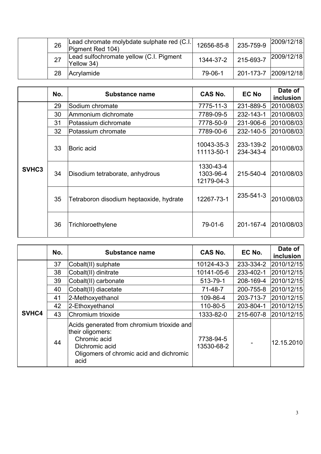| 26 | Lead chromate molybdate sulphate red (C.I.<br>Pigment Red 104) | 12656-85-8 | 235-759-9            | 2009/12/18 |
|----|----------------------------------------------------------------|------------|----------------------|------------|
| 27 | Lead sulfochromate yellow (C.I. Pigment<br>Yellow 34)          | 1344-37-2  | 215-693-7            | 2009/12/18 |
| 28 | Acrylamide                                                     | 79-06-1    | 201-173-7 2009/12/18 |            |

|       | No. | <b>Substance name</b>                   | CAS No.                              | <b>EC No</b>           | Date of<br>inclusion |
|-------|-----|-----------------------------------------|--------------------------------------|------------------------|----------------------|
|       | 29  | Sodium chromate                         | 7775-11-3                            | 231-889-5              | 2010/08/03           |
|       | 30  | Ammonium dichromate                     | 7789-09-5                            | 232-143-1              | 2010/08/03           |
|       | 31  | Potassium dichromate                    | 7778-50-9                            | 231-906-6              | 2010/08/03           |
|       | 32  | Potassium chromate                      | 7789-00-6                            | 232-140-5              | 2010/08/03           |
|       | 33  | Boric acid                              | 10043-35-3<br>11113-50-1             | 233-139-2<br>234-343-4 | 2010/08/03           |
| SVHC3 | 34  | Disodium tetraborate, anhydrous         | 1330-43-4<br>1303-96-4<br>12179-04-3 | 215-540-4              | 2010/08/03           |
|       | 35  | Tetraboron disodium heptaoxide, hydrate | 12267-73-1                           | 235-541-3              | 2010/08/03           |
|       | 36  | Trichloroethylene                       | 79-01-6                              | 201-167-4              | 2010/08/03           |

|       | No. | <b>Substance name</b>                                                                                                                               | CAS No.                 | EC No.    | Date of<br>inclusion |
|-------|-----|-----------------------------------------------------------------------------------------------------------------------------------------------------|-------------------------|-----------|----------------------|
|       | 37  | Cobalt(II) sulphate                                                                                                                                 | 10124-43-3              | 233-334-2 | 2010/12/15           |
|       | 38  | Cobalt(II) dinitrate                                                                                                                                | 10141-05-6              | 233-402-1 | 2010/12/15           |
|       | 39  | Cobalt(II) carbonate                                                                                                                                | 513-79-1                | 208-169-4 | 2010/12/15           |
|       | 40  | Cobalt(II) diacetate                                                                                                                                | 71-48-7                 | 200-755-8 | 2010/12/15           |
|       | 41  | 2-Methoxyethanol                                                                                                                                    | 109-86-4                | 203-713-7 | 2010/12/15           |
|       | 42  | 2-Ethoxyethanol                                                                                                                                     | 110-80-5                | 203-804-1 | 2010/12/15           |
| SVHC4 | 43  | Chromium trioxide                                                                                                                                   | 1333-82-0               | 215-607-8 | 2010/12/15           |
|       | 44  | Acids generated from chromium trioxide and<br>their oligomers:<br>Chromic acid<br>Dichromic acid<br>Oligomers of chromic acid and dichromic<br>acid | 7738-94-5<br>13530-68-2 |           | 12.15.2010           |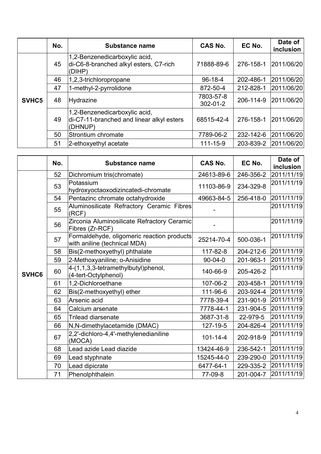|       | No. | <b>Substance name</b>                                                                 | <b>CAS No.</b>              | EC No.    | Date of<br>inclusion |
|-------|-----|---------------------------------------------------------------------------------------|-----------------------------|-----------|----------------------|
|       | 45  | 1,2-Benzenedicarboxylic acid,<br>di-C6-8-branched alkyl esters, C7-rich<br>(DIHP)     | 71888-89-6                  | 276-158-1 | 2011/06/20           |
|       | 46  | 1,2,3-trichloropropane                                                                | $96-18-4$                   | 202-486-1 | 2011/06/20           |
|       | 47  | 1-methyl-2-pyrrolidone                                                                | 872-50-4                    | 212-828-1 | 2011/06/20           |
| SVHC5 | 48  | <b>Hydrazine</b>                                                                      | 7803-57-8<br>$302 - 01 - 2$ | 206-114-9 | 2011/06/20           |
|       | 49  | 1,2-Benzenedicarboxylic acid,<br>di-C7-11-branched and linear alkyl esters<br>(DHNUP) | 68515-42-4                  | 276-158-1 | 2011/06/20           |
|       | 50  | Strontium chromate                                                                    | 7789-06-2                   | 232-142-6 | 2011/06/20           |
|       | 51  | 2-ethoxyethyl acetate                                                                 | 111-15-9                    | 203-839-2 | 2011/06/20           |

|       | No. | <b>Substance name</b>                                                      | <b>CAS No.</b> | EC No.    | Date of<br>inclusion |
|-------|-----|----------------------------------------------------------------------------|----------------|-----------|----------------------|
|       | 52  | Dichromium tris(chromate)                                                  | 24613-89-6     | 246-356-2 | 2011/11/19           |
|       | 53  | Potassium<br>hydroxyoctaoxodizincatedi-chromate                            | 11103-86-9     | 234-329-8 | 2011/11/19           |
|       | 54  | Pentazinc chromate octahydroxide                                           | 49663-84-5     | 256-418-0 | 2011/11/19           |
|       | 55  | Aluminosilicate Refractory Ceramic Fibres<br>(RCF)                         |                |           | 2011/11/19           |
|       | 56  | Zirconia Aluminosilicate Refractory Ceramic<br>Fibres (Zr-RCF)             |                |           | 2011/11/19           |
|       | 57  | Formaldehyde, oligomeric reaction products<br>with aniline (technical MDA) | 25214-70-4     | 500-036-1 | 2011/11/19           |
|       | 58  | Bis(2-methoxyethyl) phthalate                                              | 117-82-8       | 204-212-6 | 2011/11/19           |
|       | 59  | 2-Methoxyaniline; o-Anisidine                                              | $90 - 04 - 0$  | 201-963-1 | 2011/11/19           |
| SVHC6 | 60  | 4-(1,1,3,3-tetramethylbutyl)phenol,<br>(4-tert-Octylphenol)                | 140-66-9       | 205-426-2 | 2011/11/19           |
|       | 61  | 1,2-Dichloroethane                                                         | 107-06-2       | 203-458-1 | 2011/11/19           |
|       | 62  | Bis(2-methoxyethyl) ether                                                  | 111-96-6       | 203-924-4 | 2011/11/19           |
|       | 63  | Arsenic acid                                                               | 7778-39-4      | 231-901-9 | 2011/11/19           |
|       | 64  | Calcium arsenate                                                           | 7778-44-1      | 231-904-5 | 2011/11/19           |
|       | 65  | <b>Trilead diarsenate</b>                                                  | 3687-31-8      | 22-979-5  | 2011/11/19           |
|       | 66  | N, N-dimethylacetamide (DMAC)                                              | 127-19-5       | 204-826-4 | 2011/11/19           |
|       | 67  | 2,2'-dichloro-4,4'-methylenedianiline<br>(MOCA)                            | $101 - 14 - 4$ | 202-918-9 | 2011/11/19           |
|       | 68  | Lead azide Lead diazide                                                    | 13424-46-9     | 236-542-1 | 2011/11/19           |
|       | 69  | Lead styphnate                                                             | 15245-44-0     | 239-290-0 | 2011/11/19           |
|       | 70  | Lead dipicrate                                                             | 6477-64-1      | 229-335-2 | 2011/11/19           |
|       | 71  | Phenolphthalein                                                            | 77-09-8        | 201-004-7 | 2011/11/19           |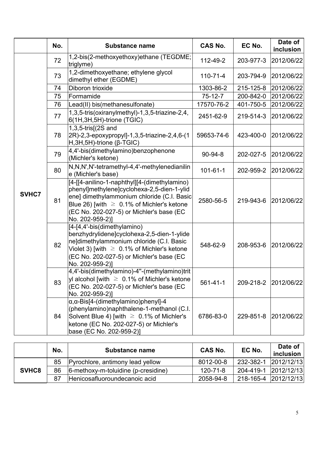|       | No. | <b>Substance name</b>                                                                                                                                                                                                                                      | <b>CAS No.</b> | EC No.    | Date of<br>inclusion |
|-------|-----|------------------------------------------------------------------------------------------------------------------------------------------------------------------------------------------------------------------------------------------------------------|----------------|-----------|----------------------|
|       | 72  | 1,2-bis(2-methoxyethoxy)ethane (TEGDME;<br>triglyme)                                                                                                                                                                                                       | 112-49-2       | 203-977-3 | 2012/06/22           |
|       | 73  | 1,2-dimethoxyethane; ethylene glycol<br>dimethyl ether (EGDME)                                                                                                                                                                                             | $110 - 71 - 4$ | 203-794-9 | 2012/06/22           |
|       | 74  | Diboron trioxide                                                                                                                                                                                                                                           | 1303-86-2      | 215-125-8 | 2012/06/22           |
|       | 75  | Formamide                                                                                                                                                                                                                                                  | $75-12-7$      | 200-842-0 | 2012/06/22           |
|       | 76  | Lead(II) bis(methanesulfonate)                                                                                                                                                                                                                             | 17570-76-2     | 401-750-5 | 2012/06/22           |
|       | 77  | 1,3,5-tris(oxiranylmethyl)-1,3,5-triazine-2,4,<br>$6(1H, 3H, 5H)$ -trione (TGIC)                                                                                                                                                                           | 2451-62-9      | 219-514-3 | 2012/06/22           |
|       | 78  | $1,3,5$ -tris $(2S \text{ and }$<br>2R)-2,3-epoxypropyl]-1,3,5-triazine-2,4,6-(1<br>$H, 3H, 5H$ )-trione ( $\beta$ -TGIC)                                                                                                                                  | 59653-74-6     | 423-400-0 | 2012/06/22           |
|       | 79  | 4,4'-bis(dimethylamino)benzophenone<br>(Michler's ketone)                                                                                                                                                                                                  | $90 - 94 - 8$  | 202-027-5 | 2012/06/22           |
|       | 80  | N,N,N',N'-tetramethyl-4,4'-methylenedianilin<br>e (Michler's base)                                                                                                                                                                                         | $101 - 61 - 1$ | 202-959-2 | 2012/06/22           |
| SVHC7 | 81  | [4-[[4-anilino-1-naphthyl][4-(dimethylamino)<br>phenyl]methylene]cyclohexa-2,5-dien-1-ylid<br>ene] dimethylammonium chloride (C.I. Basic<br>Blue 26) [with $\geq 0.1\%$ of Michler's ketone<br>(EC No. 202-027-5) or Michler's base (EC<br>No. 202-959-2)] | 2580-56-5      | 219-943-6 | 2012/06/22           |
|       | 82  | [4-[4,4'-bis(dimethylamino)<br>benzhydrylidene]cyclohexa-2,5-dien-1-ylide<br>ne]dimethylammonium chloride (C.I. Basic<br>Violet 3) [with $\geq 0.1\%$ of Michler's ketone<br>(EC No. 202-027-5) or Michler's base (EC<br>No. 202-959-2)]                   | 548-62-9       | 208-953-6 | 2012/06/22           |
|       | 83  | 4,4'-bis(dimethylamino)-4"-(methylamino)trit<br>yl alcohol [with $\geq 0.1\%$ of Michler's ketone<br>(EC No. 202-027-5) or Michler's base (EC<br>No. 202-959-2)]                                                                                           | 561-41-1       | 209-218-2 | 2012/06/22           |
|       | 84  | $\alpha$ , $\alpha$ -Bis[4-(dimethylamino)phenyl]-4<br>(phenylamino)naphthalene-1-methanol (C.I.<br>Solvent Blue 4) [with $\geq 0.1\%$ of Michler's<br>ketone (EC No. 202-027-5) or Michler's<br>base (EC No. 202-959-2)]                                  | 6786-83-0      | 229-851-8 | 2012/06/22           |

|       | No. | <b>Substance name</b>                  | <b>CAS No.</b> | EC No.    | Date of<br>inclusion |
|-------|-----|----------------------------------------|----------------|-----------|----------------------|
| SVHC8 | 85  | Pyrochlore, antimony lead yellow       | 8012-00-8      | 232-382-1 | 2012/12/13           |
|       | 86  | $6$ -methoxy-m-toluidine (p-cresidine) | 120-71-8       | 204-419-1 | 2012/12/13           |
|       | 87  | Henicosafluoroundecanoic acid          | 2058-94-8      | 218-165-4 | 2012/12/13           |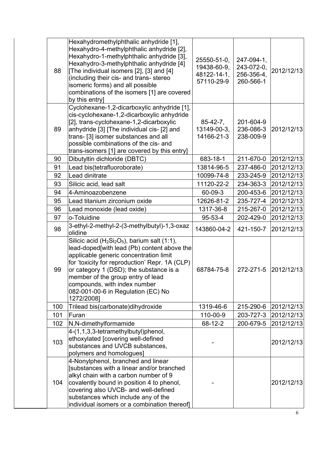| 88  | Hexahydromethylphthalic anhydride [1],<br>Hexahydro-4-methylphthalic anhydride [2],<br>Hexahydro-1-methylphthalic anhydride [3],<br>Hexahydro-3-methylphthalic anhydride [4]<br>[The individual isomers [2], [3] and [4]<br>(including their cis- and trans- stereo<br>isomeric forms) and all possible<br>combinations of the isomers [1] are covered<br>by this entry] | 25550-51-0,<br>19438-60-9.<br>48122-14-1,<br>57110-29-9 | 247-094-1,<br>243-072-0,<br>256-356-4,<br>260-566-1 | 2012/12/13 |
|-----|--------------------------------------------------------------------------------------------------------------------------------------------------------------------------------------------------------------------------------------------------------------------------------------------------------------------------------------------------------------------------|---------------------------------------------------------|-----------------------------------------------------|------------|
| 89  | Cyclohexane-1,2-dicarboxylic anhydride [1],<br>cis-cyclohexane-1,2-dicarboxylic anhydride<br>[2], trans-cyclohexane-1,2-dicarboxylic<br>anhydride [3] [The individual cis- [2] and<br>trans- [3] isomer substances and all<br>possible combinations of the cis- and<br>trans-isomers [1] are covered by this entry]                                                      | $85-42-7$ ,<br>13149-00-3,<br>14166-21-3                | 201-604-9<br>236-086-3<br>238-009-9                 | 2012/12/13 |
| 90  | Dibutyltin dichloride (DBTC)                                                                                                                                                                                                                                                                                                                                             | 683-18-1                                                | 211-670-0                                           | 2012/12/13 |
| 91  | Lead bis(tetrafluoroborate)                                                                                                                                                                                                                                                                                                                                              | 13814-96-5                                              | 237-486-0                                           | 2012/12/13 |
| 92  | Lead dinitrate                                                                                                                                                                                                                                                                                                                                                           | 10099-74-8                                              | 233-245-9                                           | 2012/12/13 |
| 93  | Silicic acid, lead salt                                                                                                                                                                                                                                                                                                                                                  | 11120-22-2                                              | 234-363-3                                           | 2012/12/13 |
| 94  | 4-Aminoazobenzene                                                                                                                                                                                                                                                                                                                                                        | 60-09-3                                                 | 200-453-6                                           | 2012/12/13 |
| 95  | Lead titanium zirconium oxide                                                                                                                                                                                                                                                                                                                                            | 12626-81-2                                              | 235-727-4                                           | 2012/12/13 |
| 96  | Lead monoxide (lead oxide)                                                                                                                                                                                                                                                                                                                                               | 1317-36-8                                               | 215-267-0                                           | 2012/12/13 |
| 97  | o-Toluidine                                                                                                                                                                                                                                                                                                                                                              | $95 - 53 - 4$                                           | 202-429-0                                           | 2012/12/13 |
| 98  | 3-ethyl-2-methyl-2-(3-methylbutyl)-1,3-oxaz<br>olidine                                                                                                                                                                                                                                                                                                                   | 143860-04-2                                             | 421-150-7                                           | 2012/12/13 |
| 99  | Silicic acid ( $H_2Si_2O_5$ ), barium salt (1:1),<br>lead-doped[with lead (Pb) content above the<br>applicable generic concentration limit<br>for 'toxicity for reproduction' Repr. 1A (CLP)<br>or category 1 (DSD); the substance is a<br>member of the group entry of lead<br>compounds, with index number<br>082-001-00-6 in Regulation (EC) No<br>1272/2008]         | 68784-75-8                                              | 272-271-5                                           | 2012/12/13 |
| 100 | Trilead bis(carbonate)dihydroxide                                                                                                                                                                                                                                                                                                                                        | 1319-46-6                                               | 215-290-6                                           | 2012/12/13 |
| 101 | Furan                                                                                                                                                                                                                                                                                                                                                                    | 110-00-9                                                | 203-727-3                                           | 2012/12/13 |
| 102 | N,N-dimethylformamide                                                                                                                                                                                                                                                                                                                                                    | 68-12-2                                                 | 200-679-5                                           | 2012/12/13 |
| 103 | 4-(1,1,3,3-tetramethylbutyl)phenol,<br>ethoxylated [covering well-defined<br>substances and UVCB substances,<br>polymers and homologues]                                                                                                                                                                                                                                 |                                                         |                                                     | 2012/12/13 |
| 104 | 4-Nonylphenol, branched and linear<br>[substances with a linear and/or branched<br>alkyl chain with a carbon number of 9<br>covalently bound in position 4 to phenol,<br>covering also UVCB- and well-defined<br>substances which include any of the<br>individual isomers or a combination thereof]                                                                     |                                                         |                                                     | 2012/12/13 |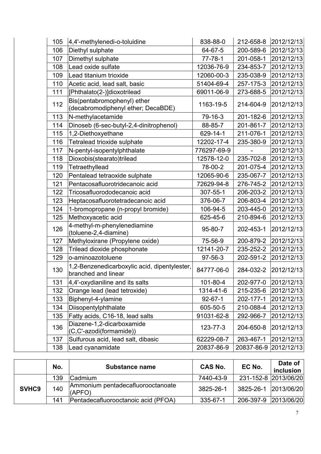| 105 | 4,4'-methylenedi-o-toluidine                                        | 838-88-0      | 212-658-8  | 2012/12/13 |
|-----|---------------------------------------------------------------------|---------------|------------|------------|
| 106 | Diethyl sulphate                                                    | 64-67-5       | 200-589-6  | 2012/12/13 |
| 107 | Dimethyl sulphate                                                   | $77 - 78 - 1$ | 201-058-1  | 2012/12/13 |
| 108 | Lead oxide sulfate                                                  | 12036-76-9    | 234-853-7  | 2012/12/13 |
| 109 | Lead titanium trioxide                                              | 12060-00-3    | 235-038-9  | 2012/12/13 |
| 110 | Acetic acid, lead salt, basic                                       | 51404-69-4    | 257-175-3  | 2012/12/13 |
| 111 | [Phthalato(2-)]dioxotrilead                                         | 69011-06-9    | 273-688-5  | 2012/12/13 |
| 112 | Bis(pentabromophenyl) ether<br>(decabromodiphenyl ether; DecaBDE)   | 1163-19-5     | 214-604-9  | 2012/12/13 |
| 113 | N-methylacetamide                                                   | 79-16-3       | 201-182-6  | 2012/12/13 |
| 114 | Dinoseb (6-sec-butyl-2,4-dinitrophenol)                             | 88-85-7       | 201-861-7  | 2012/12/13 |
| 115 | 1,2-Diethoxyethane                                                  | 629-14-1      | 211-076-1  | 2012/12/13 |
| 116 | Tetralead trioxide sulphate                                         | 12202-17-4    | 235-380-9  | 2012/12/13 |
| 117 | N-pentyl-isopentylphthalate                                         | 776297-69-9   |            | 2012/12/13 |
| 118 | Dioxobis(stearato)trilead                                           | 12578-12-0    | 235-702-8  | 2012/12/13 |
| 119 | Tetraethyllead                                                      | 78-00-2       | 201-075-4  | 2012/12/13 |
| 120 | Pentalead tetraoxide sulphate                                       | 12065-90-6    | 235-067-7  | 2012/12/13 |
| 121 | Pentacosafluorotridecanoic acid                                     | 72629-94-8    | 276-745-2  | 2012/12/13 |
| 122 | Tricosafluorododecanoic acid                                        | 307-55-1      | 206-203-2  | 2012/12/13 |
| 123 | Heptacosafluorotetradecanoic acid                                   | 376-06-7      | 206-803-4  | 2012/12/13 |
| 124 | 1-bromopropane (n-propyl bromide)                                   | 106-94-5      | 203-445-0  | 2012/12/13 |
| 125 | Methoxyacetic acid                                                  | 625-45-6      | 210-894-6  | 2012/12/13 |
| 126 | 4-methyl-m-phenylenediamine<br>(toluene-2,4-diamine)                | 95-80-7       | 202-453-1  | 2012/12/13 |
| 127 | Methyloxirane (Propylene oxide)                                     | 75-56-9       | 200-879-2  | 2012/12/13 |
| 128 | Trilead dioxide phosphonate                                         | 12141-20-7    | 235-252-2  | 2012/12/13 |
| 129 | o-aminoazotoluene                                                   | 97-56-3       | 202-591-2  | 2012/12/13 |
| 130 | 1,2-Benzenedicarboxylic acid, dipentylester,<br>branched and linear | 84777-06-0    | 284-032-2  | 2012/12/13 |
| 131 | 4,4'-oxydianiline and its salts                                     | 101-80-4      | 202-977-0  | 2012/12/13 |
| 132 | Orange lead (lead tetroxide)                                        | 1314-41-6     | 215-235-6  | 2012/12/13 |
| 133 | Biphenyl-4-ylamine                                                  | $92 - 67 - 1$ | 202-177-1  | 2012/12/13 |
| 134 | Diisopentylphthalate                                                | 605-50-5      | 210-088-4  | 2012/12/13 |
| 135 | Fatty acids, C16-18, lead salts                                     | 91031-62-8    | 292-966-7  | 2012/12/13 |
| 136 | Diazene-1,2-dicarboxamide<br>(C,C'-azodi(formamide))                | 123-77-3      | 204-650-8  | 2012/12/13 |
| 137 | Sulfurous acid, lead salt, dibasic                                  | 62229-08-7    | 263-467-1  | 2012/12/13 |
| 138 | Lead cyanamidate                                                    | 20837-86-9    | 20837-86-9 | 2012/12/13 |

|                   | No. | <b>Substance name</b>                       | <b>CAS No.</b> | EC No.               | Date of<br>inclusion |
|-------------------|-----|---------------------------------------------|----------------|----------------------|----------------------|
| SVHC <sub>9</sub> | 139 | <b>Cadmium</b>                              | 7440-43-9      | 231-152-8 2013/06/20 |                      |
|                   | 140 | Ammonium pentadecafluorooctanoate<br>(APFO) | 3825-26-1      | 3825-26-1 2013/06/20 |                      |
|                   | 141 | Pentadecafluorooctanoic acid (PFOA)         | 335-67-1       | 206-397-9            | 2013/06/20           |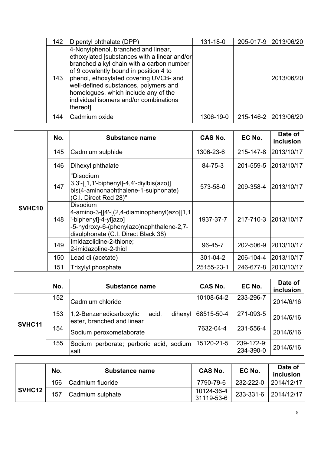| 142 | Dipentyl phthalate (DPP)                                                                                                                                                                                                                                                                                                                                   | 131-18-0  |                      | 205-017-9 2013/06/20 |
|-----|------------------------------------------------------------------------------------------------------------------------------------------------------------------------------------------------------------------------------------------------------------------------------------------------------------------------------------------------------------|-----------|----------------------|----------------------|
| 143 | 4-Nonylphenol, branched and linear,<br>ethoxylated [substances with a linear and/or<br>branched alkyl chain with a carbon number<br>of 9 covalently bound in position 4 to<br>phenol, ethoxylated covering UVCB- and<br>well-defined substances, polymers and<br>homologues, which include any of the<br>individual isomers and/or combinations<br>thereof |           |                      | 2013/06/20           |
| 144 | Cadmium oxide                                                                                                                                                                                                                                                                                                                                              | 1306-19-0 | 215-146-2 2013/06/20 |                      |

|        | No. | <b>Substance name</b>                                                                                                                                                | <b>CAS No.</b> | EC No.    | Date of<br>inclusion |
|--------|-----|----------------------------------------------------------------------------------------------------------------------------------------------------------------------|----------------|-----------|----------------------|
|        | 145 | Cadmium sulphide                                                                                                                                                     | 1306-23-6      | 215-147-8 | 2013/10/17           |
| SVHC10 | 146 | Dihexyl phthalate                                                                                                                                                    | 84-75-3        | 201-559-5 | 2013/10/17           |
|        | 147 | "Disodium<br>$[3,3'$ -[[1,1'-biphenyl]-4,4'-diylbis(azo)]<br>bis(4-aminonaphthalene-1-sulphonate)<br>(C.I. Direct Red 28)"                                           | 573-58-0       | 209-358-4 | 2013/10/17           |
|        | 148 | Disodium<br>4-amino-3-[[4'-[(2,4-diaminophenyl)azo][1,1 <br>'-biphenyl]-4-yl]azo]<br>-5-hydroxy-6-(phenylazo)naphthalene-2,7-<br>disulphonate (C.I. Direct Black 38) | 1937-37-7      | 217-710-3 | 2013/10/17           |
|        | 149 | Imidazolidine-2-thione;<br>2-imidazoline-2-thiol                                                                                                                     | 96-45-7        | 202-506-9 | 2013/10/17           |
|        | 150 | Lead di (acetate)                                                                                                                                                    | $301 - 04 - 2$ | 206-104-4 | 2013/10/17           |
|        | 151 | Trixylyl phosphate                                                                                                                                                   | 25155-23-1     | 246-677-8 | 2013/10/17           |

|        | No. | <b>Substance name</b>                                                     | <b>CAS No.</b> | EC No.                  | Date of<br>inclusion |
|--------|-----|---------------------------------------------------------------------------|----------------|-------------------------|----------------------|
|        | 152 | Cadmium chloride                                                          | 10108-64-2     | 233-296-7               | 2014/6/16            |
|        | 153 | dihexyl<br>1,2-Benzenedicarboxylic<br>acid,<br>ester, branched and linear | 68515-50-4     | 271-093-5               | 2014/6/16            |
| SVHC11 | 154 | Sodium peroxometaborate                                                   | 7632-04-4      | 231-556-4               | 2014/6/16            |
|        | 155 | Sodium perborate; perboric acid, sodium<br>salt                           | 15120-21-5     | 239-172-9;<br>234-390-0 | 2014/6/16            |

|        | No. | <b>Substance name</b> | <b>CAS No.</b>           | EC No.    | Date of<br>inclusion |
|--------|-----|-----------------------|--------------------------|-----------|----------------------|
|        | 156 | Cadmium fluoride      | 7790-79-6                | 232-222-0 | 2014/12/17           |
| SVHC12 | 157 | Cadmium sulphate      | 10124-36-4<br>31119-53-6 |           | 233-331-6 2014/12/17 |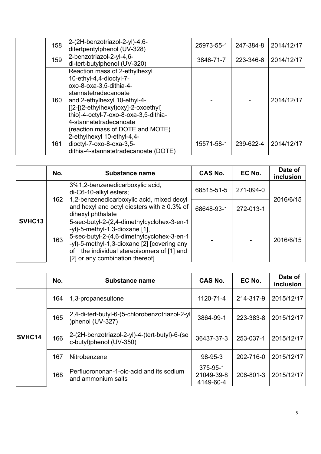| 158 | 2-(2H-benzotriazol-2-yl)-4,6-<br>ditertpentylphenol (UV-328)                                                                                                                                                                                                                                | 25973-55-1 | 247-384-8 | 2014/12/17 |
|-----|---------------------------------------------------------------------------------------------------------------------------------------------------------------------------------------------------------------------------------------------------------------------------------------------|------------|-----------|------------|
| 159 | 2-benzotriazol-2-yl-4,6-<br>di-tert-butylphenol (UV-320)                                                                                                                                                                                                                                    | 3846-71-7  | 223-346-6 | 2014/12/17 |
| 160 | Reaction mass of 2-ethylhexyl<br>10-ethyl-4,4-dioctyl-7-<br>oxo-8-oxa-3,5-dithia-4-<br>Istannatetradecanoate<br>and 2-ethylhexyl 10-ethyl-4-<br>[[[2-[(2-ethylhexyl)oxy]-2-oxoethyl]<br>thio]-4-octyl-7-oxo-8-oxa-3,5-dithia-<br>4-stannatetradecanoate<br>(reaction mass of DOTE and MOTE) |            |           | 2014/12/17 |
| 161 | 2-ethylhexyl 10-ethyl-4,4-<br>dioctyl-7-oxo-8-oxa-3,5-<br>dithia-4-stannatetradecanoate (DOTE)                                                                                                                                                                                              | 15571-58-1 | 239-622-4 | 2014/12/17 |

|                    | No. | <b>Substance name</b>                                                                                                                                                                                                                                             | CAS No.    | EC No.    | Date of<br>inclusion |
|--------------------|-----|-------------------------------------------------------------------------------------------------------------------------------------------------------------------------------------------------------------------------------------------------------------------|------------|-----------|----------------------|
| SVHC <sub>13</sub> | 162 | 3%1,2-benzenedicarboxylic acid,<br>di-C6-10-alkyl esters;                                                                                                                                                                                                         | 68515-51-5 | 271-094-0 | 2016/6/15            |
|                    |     | 1,2-benzenedicarboxylic acid, mixed decyl<br>and hexyl and octyl diesters with $\geq 0.3\%$ of<br>dihexyl phthalate                                                                                                                                               | 68648-93-1 | 272-013-1 |                      |
|                    | 163 | 5-sec-butyl-2-(2,4-dimethylcyclohex-3-en-1<br>$-yl$ )-5-methyl-1,3-dioxane [1],<br>5-sec-butyl-2-(4,6-dimethylcyclohex-3-en-1<br>-yl)-5-methyl-1,3-dioxane [2] [covering any<br>the individual stereoisomers of [1] and<br>lof<br>[2] or any combination thereof] |            |           | 2016/6/15            |

|               | No. | Substance name                                                           | <b>CAS No.</b>                      | EC No.    | Date of<br>inclusion |
|---------------|-----|--------------------------------------------------------------------------|-------------------------------------|-----------|----------------------|
| <b>SVHC14</b> | 164 | 1,3-propanesultone                                                       | 1120-71-4                           | 214-317-9 | 2015/12/17           |
|               | 165 | 2,4-di-tert-butyl-6-(5-chlorobenzotriazol-2-yl <br>)phenol (UV-327)      | 3864-99-1                           | 223-383-8 | 2015/12/17           |
|               | 166 | 2-(2H-benzotriazol-2-yl)-4-(tert-butyl)-6-(se<br>c-butyl)phenol (UV-350) | 36437-37-3                          | 253-037-1 | 2015/12/17           |
|               | 167 | <b>Nitrobenzene</b>                                                      | 98-95-3                             | 202-716-0 | 2015/12/17           |
|               | 168 | Perfluorononan-1-oic-acid and its sodium<br>land ammonium salts          | 375-95-1<br>21049-39-8<br>4149-60-4 | 206-801-3 | 2015/12/17           |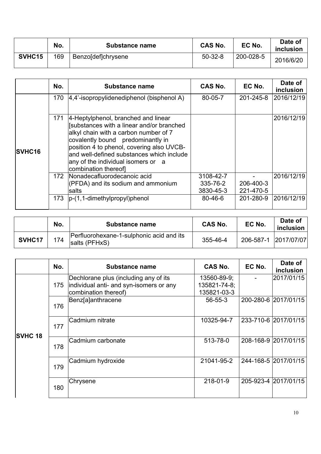|        | No. | Substance name     | <b>CAS No.</b> | EC No.    | Date of<br>inclusion |
|--------|-----|--------------------|----------------|-----------|----------------------|
| SVHC15 | 169 | Benzo[def]chrysene | $50-32-8$      | 200-028-5 | 2016/6/20            |

|               | No. | <b>Substance name</b>                                                                                                                                                                                                                                                                                                  | <b>CAS No.</b>                     | EC No.                 | Date of<br>inclusion |
|---------------|-----|------------------------------------------------------------------------------------------------------------------------------------------------------------------------------------------------------------------------------------------------------------------------------------------------------------------------|------------------------------------|------------------------|----------------------|
|               | 170 | $ 4,4$ '-isopropylidenediphenol (bisphenol A)                                                                                                                                                                                                                                                                          | 80-05-7                            | 201-245-8              | 2016/12/19           |
| <b>SVHC16</b> | 171 | 4-Heptylphenol, branched and linear<br>[substances with a linear and/or branched<br>alkyl chain with a carbon number of 7<br>covalently bound predominantly in<br>position 4 to phenol, covering also UVCB-<br>and well-defined substances which include<br>any of the individual isomers or a<br>combination thereofl |                                    |                        | 2016/12/19           |
|               |     | 172   Nonadecafluorodecanoic acid<br>(PFDA) and its sodium and ammonium<br>salts                                                                                                                                                                                                                                       | 3108-42-7<br>335-76-2<br>3830-45-3 | 206-400-3<br>221-470-5 | 2016/12/19           |
|               | 173 | $ p-(1, 1-dimethylpropyl)$ phenol                                                                                                                                                                                                                                                                                      | $80 - 46 - 6$                      | 201-280-9              | 2016/12/19           |

|        | No. | Substance name                                            | <b>CAS No.</b> | EC No.               | Date of<br>inclusion |
|--------|-----|-----------------------------------------------------------|----------------|----------------------|----------------------|
| SVHC17 | 174 | Perfluorohexane-1-sulphonic acid and its<br>salts (PFHxS) | 355-46-4       | 206-587-1 2017/07/07 |                      |

|                | No. | <b>Substance name</b>                                           | CAS No.                     | EC No. | Date of<br>inclusion |
|----------------|-----|-----------------------------------------------------------------|-----------------------------|--------|----------------------|
|                |     | Dechlorane plus (including any of its                           | 13560-89-9;                 |        | 2017/01/15           |
| <b>SVHC 18</b> | 175 | individual anti- and syn-isomers or any<br>combination thereof) | 135821-74-8;<br>135821-03-3 |        |                      |
|                | 176 | Benz[a]anthracene                                               | $56 - 55 - 3$               |        | 200-280-6 2017/01/15 |
|                | 177 | Cadmium nitrate                                                 | 10325-94-7                  |        | 233-710-6 2017/01/15 |
|                | 178 | Cadmium carbonate                                               | 513-78-0                    |        | 208-168-9 2017/01/15 |
|                | 179 | Cadmium hydroxide                                               | 21041-95-2                  |        | 244-168-5 2017/01/15 |
|                | 180 | Chrysene                                                        | 218-01-9                    |        | 205-923-4 2017/01/15 |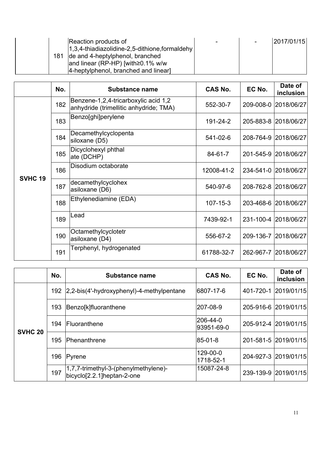|  | Reaction products of                               |  | 2017/01/15 |
|--|----------------------------------------------------|--|------------|
|  | $ 1,3,4$ -thiadiazolidine-2,5-dithione, formaldehy |  |            |
|  | 181 de and 4-heptylphenol, branched                |  |            |
|  | and linear (RP-HP) [with $\geq$ 0.1% w/w           |  |            |
|  | 4-heptylphenol, branched and linear                |  |            |

|                | No. | Substance name                                                                 | CAS No.        | EC No. | Date of<br><i>inclusion</i> |
|----------------|-----|--------------------------------------------------------------------------------|----------------|--------|-----------------------------|
|                | 182 | Benzene-1,2,4-tricarboxylic acid 1,2<br>anhydride (trimellitic anhydride; TMA) | 552-30-7       |        | 209-008-0 2018/06/27        |
|                | 183 | Benzo[ghi]perylene                                                             | 191-24-2       |        | 205-883-8 2018/06/27        |
|                | 184 | Decamethylcyclopenta<br>siloxane (D5)                                          | 541-02-6       |        | 208-764-9 2018/06/27        |
|                | 185 | Dicyclohexyl phthal<br>ate (DCHP)                                              | 84-61-7        |        | 201-545-9 2018/06/27        |
| <b>SVHC 19</b> | 186 | Disodium octaborate                                                            | 12008-41-2     |        | 234-541-0 2018/06/27        |
|                | 187 | decamethylcyclohex<br>asiloxane (D6)                                           | 540-97-6       |        | 208-762-8 2018/06/27        |
|                | 188 | Ethylenediamine (EDA)                                                          | $107 - 15 - 3$ |        | 203-468-6 2018/06/27        |
|                | 189 | Lead                                                                           | 7439-92-1      |        | 231-100-4 2018/06/27        |
|                | 190 | Octamethylcyclotetr<br>asiloxane (D4)                                          | 556-67-2       |        | 209-136-7 2018/06/27        |
|                | 191 | Terphenyl, hydrogenated                                                        | 61788-32-7     |        | 262-967-7 2018/06/27        |

|                | No. | <b>Substance name</b>                                              | <b>CAS No.</b>         | EC No. | Date of<br>inclusion |
|----------------|-----|--------------------------------------------------------------------|------------------------|--------|----------------------|
|                |     | 192 2.2-bis(4'-hydroxyphenyl)-4-methylpentane                      | 6807-17-6              |        | 401-720-1 2019/01/15 |
|                | 193 | Benzo[k]fluoranthene                                               | l207-08-9              |        | 205-916-6 2019/01/15 |
| <b>SVHC 20</b> | 194 | <b>Fluoranthene</b>                                                | 206-44-0<br>93951-69-0 |        | 205-912-4 2019/01/15 |
|                | 195 | <b>Phenanthrene</b>                                                | 85-01-8                |        | 201-581-5 2019/01/15 |
|                | 196 | Pyrene                                                             | 129-00-0<br>1718-52-1  |        | 204-927-3 2019/01/15 |
|                | 197 | 1,7,7-trimethyl-3-(phenylmethylene)-<br>bicyclo[2.2.1]heptan-2-one | 15087-24-8             |        | 239-139-9 2019/01/15 |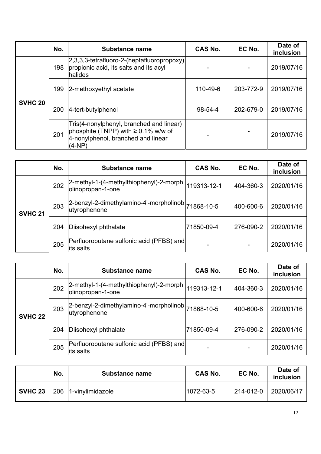|                | No. | <b>Substance name</b>                                                                                                                  | CAS No.       | EC No.    | Date of<br>inclusion |
|----------------|-----|----------------------------------------------------------------------------------------------------------------------------------------|---------------|-----------|----------------------|
|                | 198 | 2,3,3,3-tetrafluoro-2-(heptafluoropropoxy)<br>propionic acid, its salts and its acyl<br>halides                                        |               |           | 2019/07/16           |
|                | 199 | 2-methoxyethyl acetate                                                                                                                 | 110-49-6      | 203-772-9 | 2019/07/16           |
| <b>SVHC 20</b> | 200 | 4-tert-butylphenol                                                                                                                     | $98 - 54 - 4$ | 202-679-0 | 2019/07/16           |
|                | 201 | Tris(4-nonylphenyl, branched and linear)<br>phosphite (TNPP) with $\geq$ 0.1% w/w of<br>4-nonylphenol, branched and linear<br>$(4-NP)$ |               |           | 2019/07/16           |

|                | No. | Substance name                                                     | <b>CAS No.</b> | EC No.    | Date of<br>inclusion |
|----------------|-----|--------------------------------------------------------------------|----------------|-----------|----------------------|
|                | 202 | 2-methyl-1-(4-methylthiophenyl)-2-morph<br>olinopropan-1-one       | 119313-12-1    | 404-360-3 | 2020/01/16           |
| <b>SVHC 21</b> | 203 | 2-benzyl-2-dimethylamino-4'-morpholinob 71868-10-5<br>utyrophenone |                | 400-600-6 | 2020/01/16           |
|                | 204 | Diisohexyl phthalate                                               | 71850-09-4     | 276-090-2 | 2020/01/16           |
|                | 205 | Perfluorobutane sulfonic acid (PFBS) and<br>its salts              |                |           | 2020/01/16           |

|                | No. | <b>Substance name</b>                                                          | CAS No.     | EC No.    | Date of<br>inclusion |
|----------------|-----|--------------------------------------------------------------------------------|-------------|-----------|----------------------|
|                | 202 | 2-methyl-1-(4-methylthiophenyl)-2-morph<br>olinopropan-1-one                   | 119313-12-1 | 404-360-3 | 2020/01/16           |
| <b>SVHC 22</b> | 203 | 2-benzyl-2-dimethylamino-4'-morpholinob  <sub>71868-10-5</sub><br>utyrophenone |             | 400-600-6 | 2020/01/16           |
|                | 204 | Diisohexyl phthalate                                                           | 71850-09-4  | 276-090-2 | 2020/01/16           |
|                | 205 | Perfluorobutane sulfonic acid (PFBS) and<br>lits salts                         |             |           | 2020/01/16           |

|                | No. | <b>Substance name</b> | <b>CAS No.</b> | EC No.    | Date of<br>inclusion |
|----------------|-----|-----------------------|----------------|-----------|----------------------|
| <b>SVHC 23</b> |     | 206 1-vinylimidazole  | 1072-63-5      | 214-012-0 | 2020/06/17           |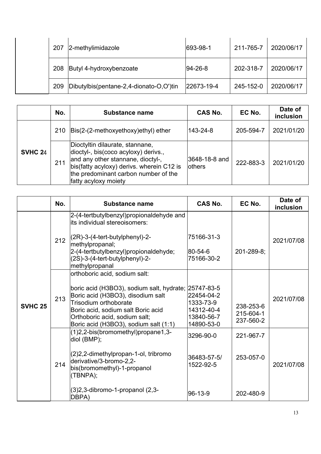|  | 207 | 2-methylimidazole                       | 693-98-1    | 211-765-7 | 2020/06/17 |
|--|-----|-----------------------------------------|-------------|-----------|------------|
|  | 208 | Butyl 4-hydroxybenzoate                 | $ 94-26-8 $ | 202-318-7 | 2020/06/17 |
|  | 209 | Dibutylbis(pentane-2,4-dionato-O,O')tin | 22673-19-4  | 245-152-0 | 2020/06/17 |

|                | No. | <b>Substance name</b>                                                                                                                                                                                                     | CAS No.                         | EC No.    | Date of<br>inclusion |
|----------------|-----|---------------------------------------------------------------------------------------------------------------------------------------------------------------------------------------------------------------------------|---------------------------------|-----------|----------------------|
|                | 210 | $\textsf{Bis}(2-(2-methoxyethoxy)ethyl)$ ether                                                                                                                                                                            | 143-24-8                        | 205-594-7 | 2021/01/20           |
| <b>SVHC 24</b> | 211 | Dioctyltin dilaurate, stannane,<br>dioctyl-, bis(coco acyloxy) derivs.,<br>and any other stannane, dioctyl-,<br>bis(fatty acyloxy) derivs. wherein C12 is<br>the predominant carbon number of the<br>fatty acyloxy moiety | 3648-18-8 and<br><b>lothers</b> | 222-883-3 | 2021/01/20           |

|                | No. | <b>Substance name</b>                                                                                                                                                                                                                                               | <b>CAS No.</b>                                                    | EC No.                              | Date of<br>inclusion |
|----------------|-----|---------------------------------------------------------------------------------------------------------------------------------------------------------------------------------------------------------------------------------------------------------------------|-------------------------------------------------------------------|-------------------------------------|----------------------|
|                | 212 | 2-(4-tertbutylbenzyl)propionaldehyde and<br>its individual stereoisomers:<br>$(2R)$ -3- $(4$ -tert-butylphenyl)-2-<br>methylpropanal;<br>2-(4-tertbutylbenzyl)propionaldehyde;<br>(2S)-3-(4-tert-butylphenyl)-2-<br>methylpropanal                                  | 75166-31-3<br>$80 - 54 - 6$<br>75166-30-2                         | $201 - 289 - 8$ ;                   | 2021/07/08           |
| <b>SVHC 25</b> | 213 | orthoboric acid, sodium salt:<br>boric acid (H3BO3), sodium salt, hydrate; 25747-83-5<br>Boric acid (H3BO3), disodium salt<br>Trisodium orthoborate<br>Boric acid, sodium salt Boric acid<br>Orthoboric acid, sodium salt;<br>Boric acid (H3BO3), sodium salt (1:1) | 22454-04-2<br>1333-73-9<br>14312-40-4<br>13840-56-7<br>14890-53-0 | 238-253-6<br>215-604-1<br>237-560-2 | 2021/07/08           |
|                | 214 | (1)2,2-bis(bromomethyl)propane1,3-<br>diol (BMP);<br>(2)2,2-dimethylpropan-1-ol, tribromo<br>derivative/3-bromo-2,2-<br>bis(bromomethyl)-1-propanol<br>(TBNPA);<br>(3) 2, 3-dibromo-1-propanol (2, 3-<br>DBPA)                                                      | 3296-90-0<br>36483-57-5/<br>1522-92-5<br>96-13-9                  | 221-967-7<br>253-057-0<br>202-480-9 | 2021/07/08           |